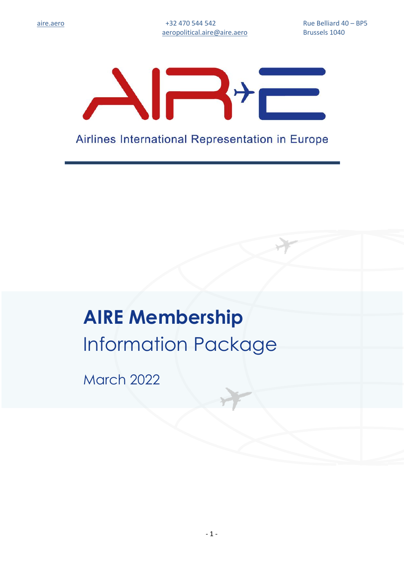

Airlines International Representation in Europe

# **AIRE Membership** Information Package

March 2022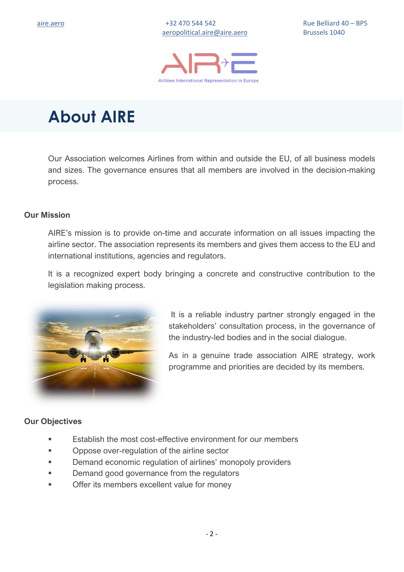

### **About AIRE**

Our Association welcomes Airlines from within and outside the EU, of all business models and sizes. The governance ensures that all members are involved in the decision-making process.

#### **Our Mission**

AIRE's mission is to provide on-time and accurate information on all issues impacting the airline sector. The association represents its members and gives them access to the EU and international institutions, agencies and regulators.

It is a recognized expert body bringing a concrete and constructive contribution to the legislation making process.



It is a reliable industry partner strongly engaged in the stakeholders' consultation process, in the governance of the industry-led bodies and in the social dialogue.

As in a genuine trade association AIRE strategy, work programme and priorities are decided by its members.

#### **Our Objectives**

- Establish the most cost-effective environment for our members
- Oppose over-regulation of the airline sector
- Demand economic regulation of airlines' monopoly providers
- **Demand good governance from the regulators**
- Offer its members excellent value for money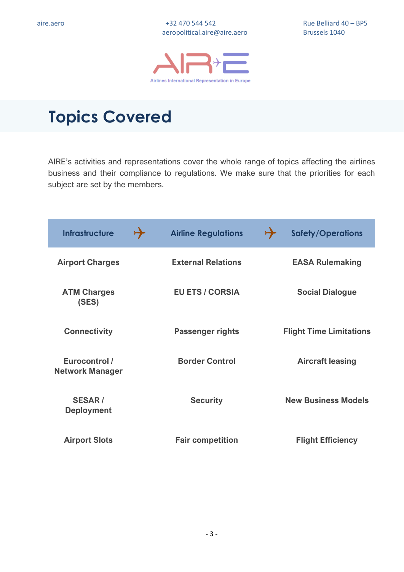

### **Topics Covered**

AIRE's activities and representations cover the whole range of topics affecting the airlines business and their compliance to regulations. We make sure that the priorities for each subject are set by the members.

| <b>Infrastructure</b>                   | $\rightarrow$ | <b>Airline Regulations</b> | $\rightarrow$<br><b>Safety/Operations</b> |
|-----------------------------------------|---------------|----------------------------|-------------------------------------------|
| <b>Airport Charges</b>                  |               | <b>External Relations</b>  | <b>EASA Rulemaking</b>                    |
| <b>ATM Charges</b><br>(SES)             |               | <b>EU ETS / CORSIA</b>     | <b>Social Dialogue</b>                    |
| <b>Connectivity</b>                     |               | <b>Passenger rights</b>    | <b>Flight Time Limitations</b>            |
| Eurocontrol /<br><b>Network Manager</b> |               | <b>Border Control</b>      | <b>Aircraft leasing</b>                   |
| <b>SESAR/</b><br><b>Deployment</b>      |               | <b>Security</b>            | <b>New Business Models</b>                |
| <b>Airport Slots</b>                    |               | <b>Fair competition</b>    | <b>Flight Efficiency</b>                  |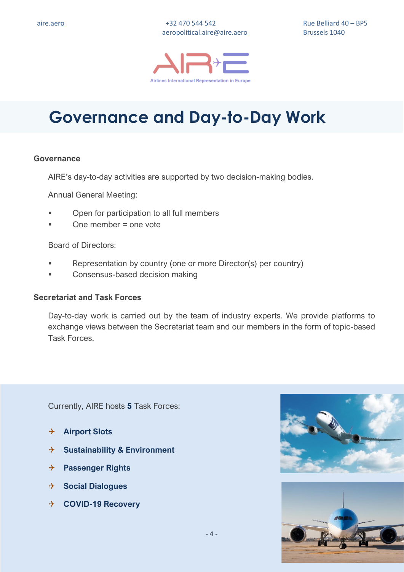

### **Governance and Day-to-Day Work**

#### **Governance**

AIRE's day-to-day activities are supported by two decision-making bodies.

Annual General Meeting:

- Open for participation to all full members
- One member  $=$  one vote

Board of Directors:

- Representation by country (one or more Director(s) per country)
- Consensus-based decision making

#### **Secretariat and Task Forces**

Day-to-day work is carried out by the team of industry experts. We provide platforms to exchange views between the Secretariat team and our members in the form of topic-based Task Forces.

Currently, AIRE hosts **5** Task Forces:

- **Airport Slots**
- **Sustainability & Environment**
- **Passenger Rights**
- **Social Dialogues**
- **COVID-19 Recovery**

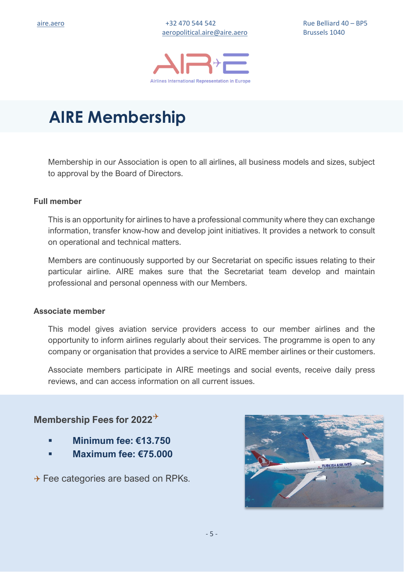

### **AIRE Membership**

Membership in our Association is open to all airlines, all business models and sizes, subject to approval by the Board of Directors.

#### **Full member**

This is an opportunity for airlines to have a professional community where they can exchange information, transfer know-how and develop joint initiatives. It provides a network to consult on operational and technical matters.

Members are continuously supported by our Secretariat on specific issues relating to their particular airline. AIRE makes sure that the Secretariat team develop and maintain professional and personal openness with our Members.

#### **Associate member**

This model gives aviation service providers access to our member airlines and the opportunity to inform airlines regularly about their services. The programme is open to any company or organisation that provides a service to AIRE member airlines or their customers.

Associate members participate in AIRE meetings and social events, receive daily press reviews, and can access information on all current issues.

### **Membership Fees for 2022**

- **Minimum fee: €13.750**
- **Maximum fee: €75.000**

 $\rightarrow$  Fee categories are based on RPKs.

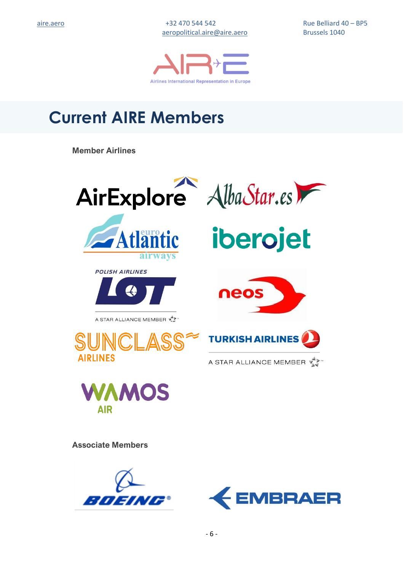[aeropolitical.aire@aire.aero](mailto:aeropolitical.aire@aire.aero) Brussels 1040

[aire.aero](https://aire.aero/) +32 470 544 542 Rue Belliard 40 – BP5



## **Current AIRE Members**

**Member Airlines**





**Associate Members**



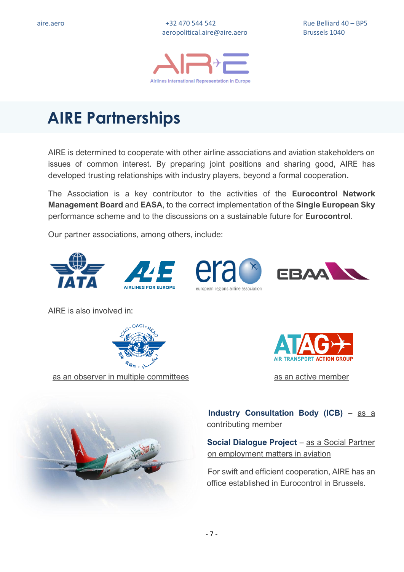

### **AIRE Partnerships**

AIRE is determined to cooperate with other airline associations and aviation stakeholders on issues of common interest. By preparing joint positions and sharing good, AIRE has developed trusting relationships with industry players, beyond a formal cooperation.

The Association is a key contributor to the activities of the **Eurocontrol Network Management Board** and **EASA**, to the correct implementation of the **Single European Sky** performance scheme and to the discussions on a sustainable future for **Eurocontrol**.

Our partner associations, among others, include:



AIRE is also involved in:



as an observer in multiple committees as an active member





 **Industry Consultation Body (ICB)** – as a contributing member

**Social Dialogue Project** – as a Social Partner on employment matters in aviation

For swift and efficient cooperation, AIRE has an office established in Eurocontrol in Brussels.